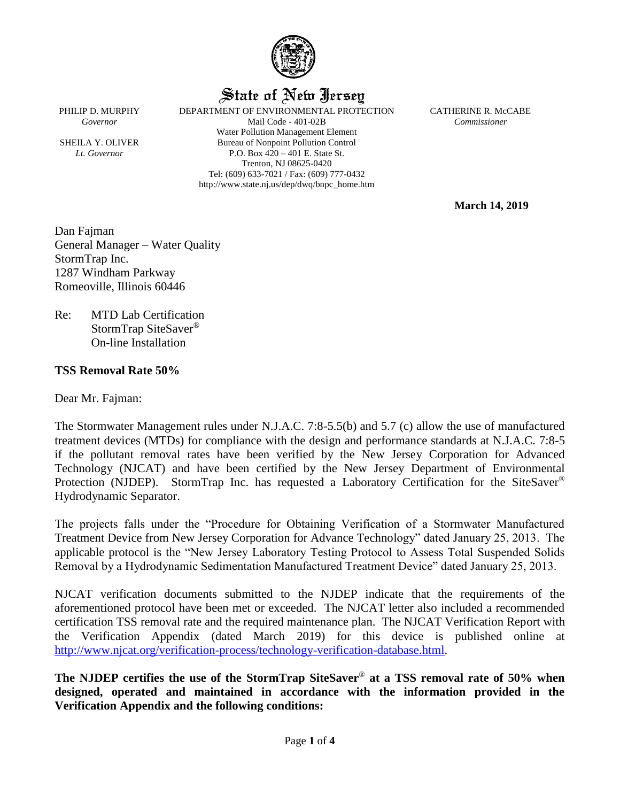

# State of New Jersey

PHILIP D. MURPHY DEPARTMENT OF ENVIRONMENTAL PROTECTION CATHERINE R. McCABE *Governor* Mail Code - 401-02B *Commissioner* Water Pollution Management Element SHEILA Y. OLIVER Bureau of Nonpoint Pollution Control *Lt. Governor* P.O. Box 420 – 401 E. State St. Trenton, NJ 08625-0420 Tel: (609) 633-7021 / Fax: (609) 777-0432 http://www.state.nj.us/dep/dwq/bnpc\_home.htm

**March 14, 2019**

Dan Fajman General Manager – Water Quality StormTrap Inc. 1287 Windham Parkway

Re: MTD Lab Certification StormTrap SiteSaver® On-line Installation

Romeoville, Illinois 60446

# **TSS Removal Rate 50%**

Dear Mr. Fajman:

The Stormwater Management rules under N.J.A.C. 7:8-5.5(b) and 5.7 (c) allow the use of manufactured treatment devices (MTDs) for compliance with the design and performance standards at N.J.A.C. 7:8-5 if the pollutant removal rates have been verified by the New Jersey Corporation for Advanced Technology (NJCAT) and have been certified by the New Jersey Department of Environmental Protection (NJDEP). StormTrap Inc. has requested a Laboratory Certification for the SiteSaver<sup>®</sup> Hydrodynamic Separator.

The projects falls under the "Procedure for Obtaining Verification of a Stormwater Manufactured Treatment Device from New Jersey Corporation for Advance Technology" dated January 25, 2013. The applicable protocol is the "New Jersey Laboratory Testing Protocol to Assess Total Suspended Solids Removal by a Hydrodynamic Sedimentation Manufactured Treatment Device" dated January 25, 2013.

NJCAT verification documents submitted to the NJDEP indicate that the requirements of the aforementioned protocol have been met or exceeded. The NJCAT letter also included a recommended certification TSS removal rate and the required maintenance plan. The NJCAT Verification Report with the Verification Appendix (dated March 2019) for this device is published online at [http://www.njcat.org/verification-process/technology-verification-database.html.](http://www.njcat.org/verification-process/technology-verification-database.html)

**The NJDEP certifies the use of the StormTrap SiteSaver**® **at a TSS removal rate of 50% when designed, operated and maintained in accordance with the information provided in the Verification Appendix and the following conditions:**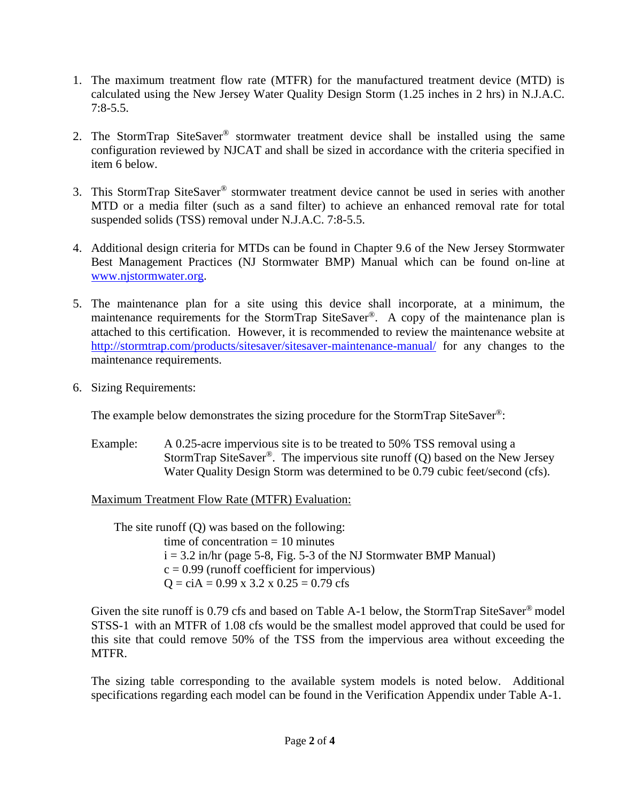- 1. The maximum treatment flow rate (MTFR) for the manufactured treatment device (MTD) is calculated using the New Jersey Water Quality Design Storm (1.25 inches in 2 hrs) in N.J.A.C. 7:8-5.5.
- 2. The StormTrap SiteSaver® stormwater treatment device shall be installed using the same configuration reviewed by NJCAT and shall be sized in accordance with the criteria specified in item 6 below.
- 3. This StormTrap SiteSaver® stormwater treatment device cannot be used in series with another MTD or a media filter (such as a sand filter) to achieve an enhanced removal rate for total suspended solids (TSS) removal under N.J.A.C. 7:8-5.5.
- 4. Additional design criteria for MTDs can be found in Chapter 9.6 of the New Jersey Stormwater Best Management Practices (NJ Stormwater BMP) Manual which can be found on-line at [www.njstormwater.org.](http://www.njstormwater.org/)
- 5. The maintenance plan for a site using this device shall incorporate, at a minimum, the maintenance requirements for the StormTrap SiteSaver<sup>®</sup>. A copy of the maintenance plan is attached to this certification. However, it is recommended to review the maintenance website at <http://stormtrap.com/products/sitesaver/sitesaver-maintenance-manual/> for any changes to the maintenance requirements.
- 6. Sizing Requirements:

The example below demonstrates the sizing procedure for the StormTrap SiteSaver®:

Example: A 0.25-acre impervious site is to be treated to 50% TSS removal using a StormTrap SiteSaver®. The impervious site runoff (Q) based on the New Jersey Water Quality Design Storm was determined to be 0.79 cubic feet/second (cfs).

Maximum Treatment Flow Rate (MTFR) Evaluation:

The site runoff (Q) was based on the following: time of concentration  $= 10$  minutes  $i = 3.2$  in/hr (page 5-8, Fig. 5-3 of the NJ Stormwater BMP Manual)  $c = 0.99$  (runoff coefficient for impervious)  $Q = cIA = 0.99$  x 3.2 x  $0.25 = 0.79$  cfs

Given the site runoff is 0.79 cfs and based on Table A-1 below, the StormTrap SiteSaver<sup>®</sup> model STSS-1 with an MTFR of 1.08 cfs would be the smallest model approved that could be used for this site that could remove 50% of the TSS from the impervious area without exceeding the MTFR.

The sizing table corresponding to the available system models is noted below. Additional specifications regarding each model can be found in the Verification Appendix under Table A-1.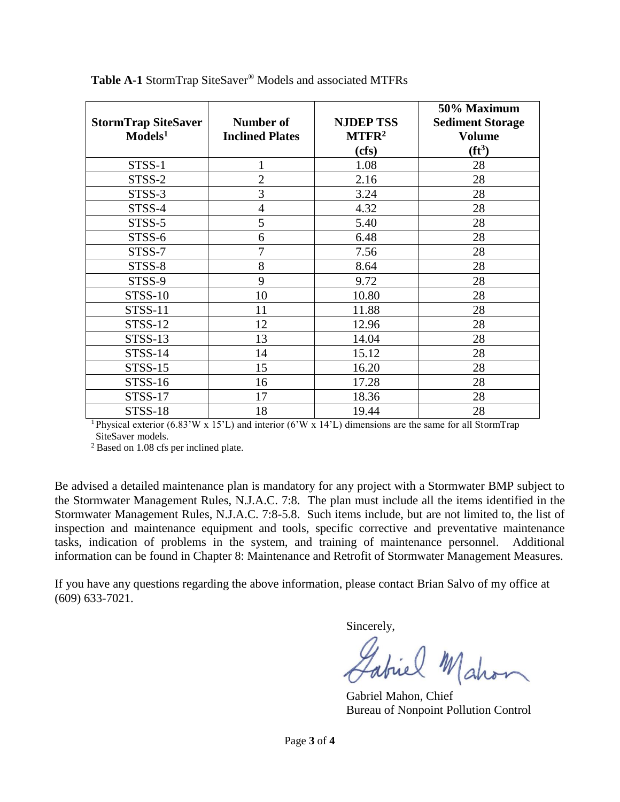|                            |                        |                   | 50% Maximum             |
|----------------------------|------------------------|-------------------|-------------------------|
| <b>StormTrap SiteSaver</b> | <b>Number of</b>       | <b>NJDEP TSS</b>  | <b>Sediment Storage</b> |
| Models <sup>1</sup>        | <b>Inclined Plates</b> | MTFR <sup>2</sup> | <b>Volume</b>           |
|                            |                        | (cfs)             | (f t <sup>3</sup> )     |
| STSS-1                     | 1                      | 1.08              | 28                      |
| STSS-2                     | $\overline{2}$         | 2.16              | 28                      |
| STSS-3                     | 3                      | 3.24              | 28                      |
| STSS-4                     | 4                      | 4.32              | 28                      |
| STSS-5                     | 5                      | 5.40              | 28                      |
| STSS-6                     | 6                      | 6.48              | 28                      |
| STSS-7                     | 7                      | 7.56              | 28                      |
| STSS-8                     | 8                      | 8.64              | 28                      |
| STSS-9                     | 9                      | 9.72              | 28                      |
| <b>STSS-10</b>             | 10                     | 10.80             | 28                      |
| <b>STSS-11</b>             | 11                     | 11.88             | 28                      |
| STSS-12                    | 12                     | 12.96             | 28                      |
| STSS-13                    | 13                     | 14.04             | 28                      |
| <b>STSS-14</b>             | 14                     | 15.12             | 28                      |
| <b>STSS-15</b>             | 15                     | 16.20             | 28                      |
| STSS-16                    | 16                     | 17.28             | 28                      |
| <b>STSS-17</b>             | 17                     | 18.36             | 28                      |
| <b>STSS-18</b>             | 18                     | 19.44             | 28                      |

**Table A-1** StormTrap SiteSaver® Models and associated MTFRs

<sup>1</sup>Physical exterior (6.83'W x 15'L) and interior (6'W x 14'L) dimensions are the same for all StormTrap SiteSaver models.

<sup>2</sup> Based on 1.08 cfs per inclined plate.

Be advised a detailed maintenance plan is mandatory for any project with a Stormwater BMP subject to the Stormwater Management Rules, N.J.A.C. 7:8. The plan must include all the items identified in the Stormwater Management Rules, N.J.A.C. 7:8-5.8. Such items include, but are not limited to, the list of inspection and maintenance equipment and tools, specific corrective and preventative maintenance tasks, indication of problems in the system, and training of maintenance personnel. Additional information can be found in Chapter 8: Maintenance and Retrofit of Stormwater Management Measures.

If you have any questions regarding the above information, please contact Brian Salvo of my office at (609) 633-7021.

Sincerely,

Labiel Mahon

Gabriel Mahon, Chief Bureau of Nonpoint Pollution Control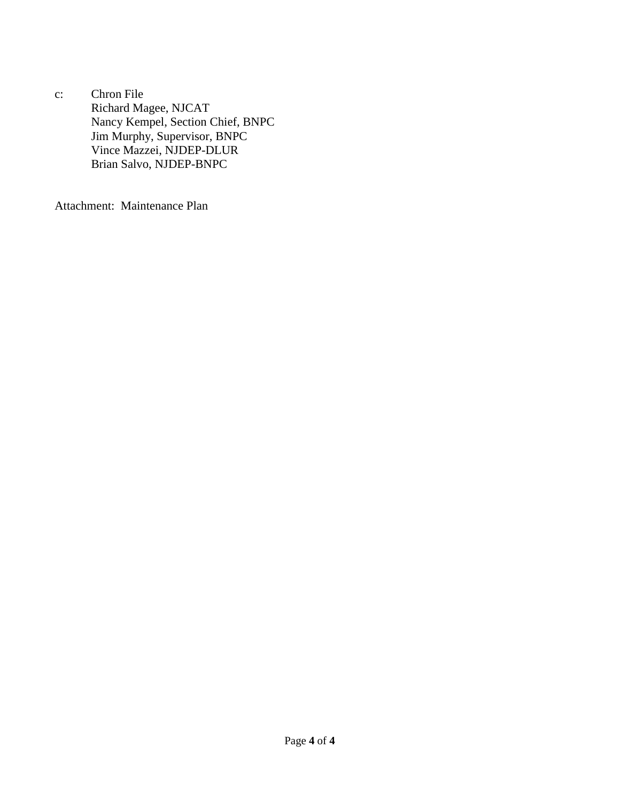c: Chron File Richard Magee, NJCAT Nancy Kempel, Section Chief, BNPC Jim Murphy, Supervisor, BNPC Vince Mazzei, NJDEP-DLUR Brian Salvo, NJDEP-BNPC

Attachment: Maintenance Plan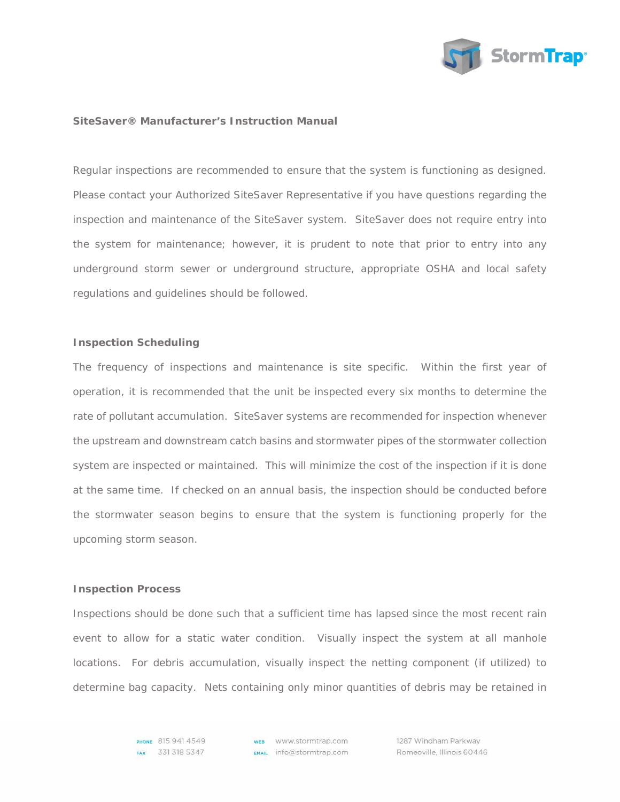

#### **SiteSaver® Manufacturer's Instruction Manual**

Regular inspections are recommended to ensure that the system is functioning as designed. Please contact your Authorized SiteSaver Representative if you have questions regarding the inspection and maintenance of the SiteSaver system. SiteSaver does not require entry into the system for maintenance; however, it is prudent to note that prior to entry into any underground storm sewer or underground structure, appropriate OSHA and local safety regulations and guidelines should be followed.

### **Inspection Scheduling**

The frequency of inspections and maintenance is site specific. Within the first year of operation, it is recommended that the unit be inspected every six months to determine the rate of pollutant accumulation. SiteSaver systems are recommended for inspection whenever the upstream and downstream catch basins and stormwater pipes of the stormwater collection system are inspected or maintained. This will minimize the cost of the inspection if it is done at the same time. If checked on an annual basis, the inspection should be conducted before the stormwater season begins to ensure that the system is functioning properly for the upcoming storm season.

#### **Inspection Process**

Inspections should be done such that a sufficient time has lapsed since the most recent rain event to allow for a static water condition. Visually inspect the system at all manhole locations. For debris accumulation, visually inspect the netting component (if utilized) to determine bag capacity. Nets containing only minor quantities of debris may be retained in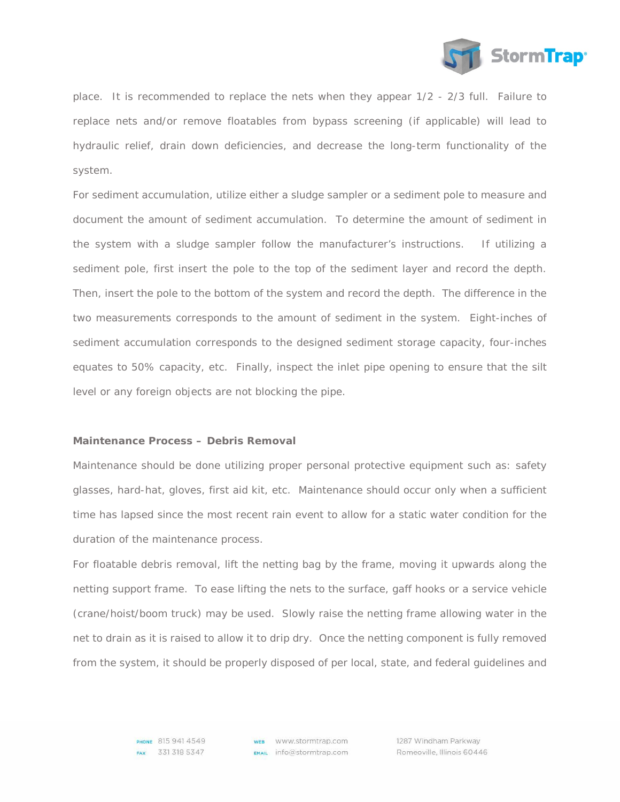

place. It is recommended to replace the nets when they appear 1/2 - 2/3 full. Failure to replace nets and/or remove floatables from bypass screening (if applicable) will lead to hydraulic relief, drain down deficiencies, and decrease the long-term functionality of the system.

For sediment accumulation, utilize either a sludge sampler or a sediment pole to measure and document the amount of sediment accumulation. To determine the amount of sediment in the system with a sludge sampler follow the manufacturer's instructions. If utilizing a sediment pole, first insert the pole to the top of the sediment layer and record the depth. Then, insert the pole to the bottom of the system and record the depth. The difference in the two measurements corresponds to the amount of sediment in the system. Eight-inches of sediment accumulation corresponds to the designed sediment storage capacity, four-inches equates to 50% capacity, etc. Finally, inspect the inlet pipe opening to ensure that the silt level or any foreign objects are not blocking the pipe.

## **Maintenance Process – Debris Removal**

Maintenance should be done utilizing proper personal protective equipment such as: safety glasses, hard-hat, gloves, first aid kit, etc. Maintenance should occur only when a sufficient time has lapsed since the most recent rain event to allow for a static water condition for the duration of the maintenance process.

For floatable debris removal, lift the netting bag by the frame, moving it upwards along the netting support frame. To ease lifting the nets to the surface, gaff hooks or a service vehicle (crane/hoist/boom truck) may be used. Slowly raise the netting frame allowing water in the net to drain as it is raised to allow it to drip dry. Once the netting component is fully removed from the system, it should be properly disposed of per local, state, and federal guidelines and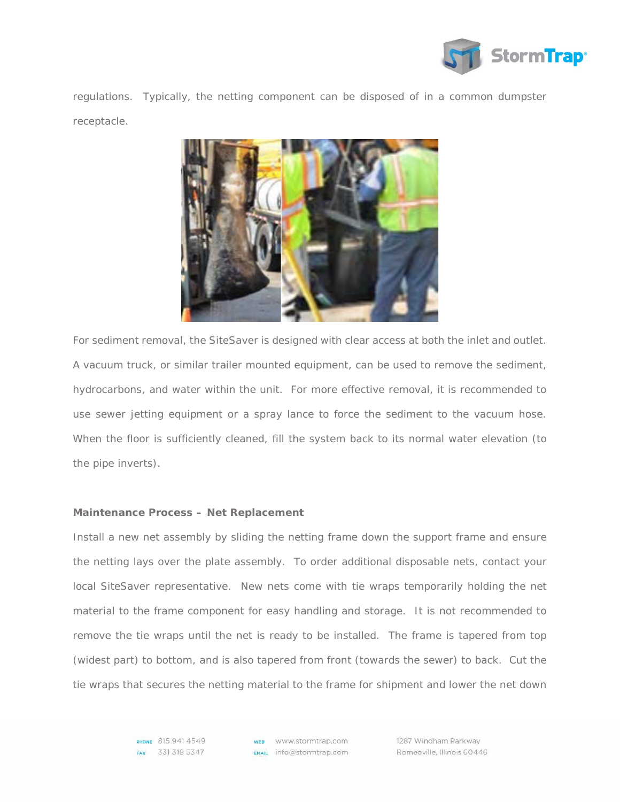

regulations. Typically, the netting component can be disposed of in a common dumpster receptacle.



For sediment removal, the SiteSaver is designed with clear access at both the inlet and outlet. A vacuum truck, or similar trailer mounted equipment, can be used to remove the sediment, hydrocarbons, and water within the unit. For more effective removal, it is recommended to use sewer jetting equipment or a spray lance to force the sediment to the vacuum hose. When the floor is sufficiently cleaned, fill the system back to its normal water elevation (to the pipe inverts).

### **Maintenance Process – Net Replacement**

Install a new net assembly by sliding the netting frame down the support frame and ensure the netting lays over the plate assembly. To order additional disposable nets, contact your local SiteSaver representative. New nets come with tie wraps temporarily holding the net material to the frame component for easy handling and storage. It is not recommended to remove the tie wraps until the net is ready to be installed. The frame is tapered from top (widest part) to bottom, and is also tapered from front (towards the sewer) to back. Cut the tie wraps that secures the netting material to the frame for shipment and lower the net down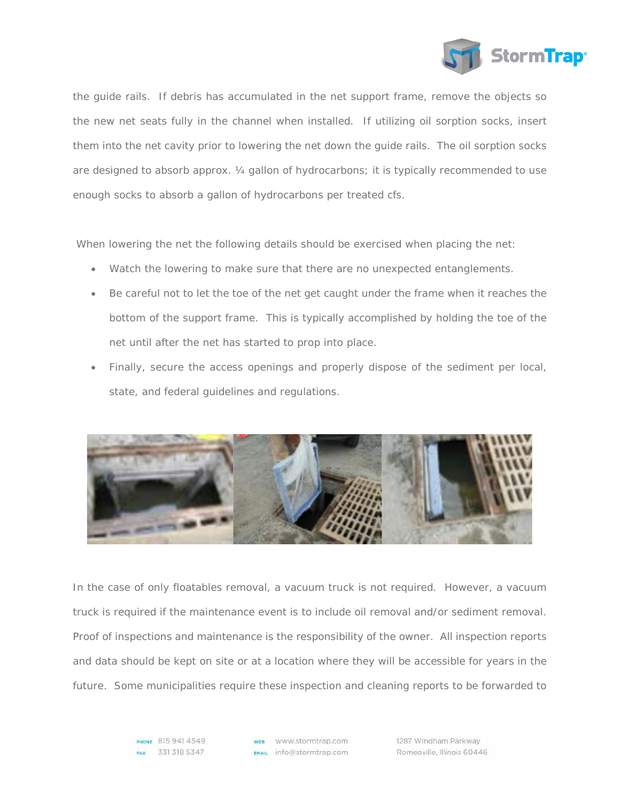

the guide rails. If debris has accumulated in the net support frame, remove the objects so the new net seats fully in the channel when installed. If utilizing oil sorption socks, insert them into the net cavity prior to lowering the net down the guide rails. The oil sorption socks are designed to absorb approx. ¼ gallon of hydrocarbons; it is typically recommended to use enough socks to absorb a gallon of hydrocarbons per treated cfs.

When lowering the net the following details should be exercised when placing the net:

- Watch the lowering to make sure that there are no unexpected entanglements.
- Be careful not to let the toe of the net get caught under the frame when it reaches the bottom of the support frame. This is typically accomplished by holding the toe of the net until after the net has started to prop into place.
- Finally, secure the access openings and properly dispose of the sediment per local, state, and federal guidelines and regulations.



In the case of only floatables removal, a vacuum truck is not required. However, a vacuum truck is required if the maintenance event is to include oil removal and/or sediment removal. Proof of inspections and maintenance is the responsibility of the owner. All inspection reports and data should be kept on site or at a location where they will be accessible for years in the future. Some municipalities require these inspection and cleaning reports to be forwarded to

> PHONE 815 941 4549 FAX 331 318 5347

**WEB** WWW.stormtrap.com  $EMAL$  info@stormtrap.com 1287 Windham Parkway Romeoville, Illinois 60446